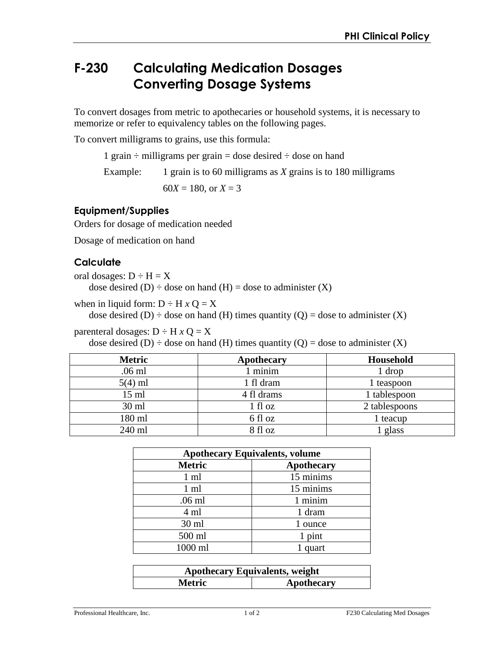# **F-230 Calculating Medication Dosages Converting Dosage Systems**

To convert dosages from metric to apothecaries or household systems, it is necessary to memorize or refer to equivalency tables on the following pages.

To convert milligrams to grains, use this formula:

1 grain  $\div$  milligrams per grain = dose desired  $\div$  dose on hand

Example: 1 grain is to 60 milligrams as *X* grains is to 180 milligrams

 $60X = 180$ , or  $X = 3$ 

#### **Equipment/Supplies**

Orders for dosage of medication needed

Dosage of medication on hand

### **Calculate**

oral dosages:  $D \div H = X$ 

dose desired  $(D)$  ÷ dose on hand  $(H)$  = dose to administer  $(X)$ 

when in liquid form:  $D \div H x Q = X$ 

dose desired (D)  $\div$  dose on hand (H) times quantity (Q) = dose to administer (X)

parenteral dosages:  $D \div H x Q = X$ 

dose desired (D)  $\div$  dose on hand (H) times quantity (Q) = dose to administer (X)

| <b>Metric</b> | Apothecary | Household     |
|---------------|------------|---------------|
| $.06$ ml      | minim      | 1 drop        |
| $5(4)$ ml     | 1 fl dram  | 1 teaspoon    |
| 15 ml         | 4 fl drams | 1 tablespoon  |
| $30$ ml       | 1 fl oz    | 2 tablespoons |
| 180 ml        | 6 fl oz    | 1 teacup      |
| 240 ml        | 8 fl oz    | glass         |

| <b>Apothecary Equivalents, volume</b> |            |
|---------------------------------------|------------|
| <b>Metric</b>                         | Apothecary |
| $1 \text{ ml}$                        | 15 minims  |
| $1 \text{ ml}$                        | 15 minims  |
| $.06$ ml                              | 1 minim    |
| 4 ml                                  | 1 dram     |
| $30$ ml                               | 1 ounce    |
| 500 ml                                | 1 pint     |
| 1000 ml                               | quart      |

| <b>Apothecary Equivalents, weight</b> |            |  |
|---------------------------------------|------------|--|
| <b>Metric</b>                         | Apothecary |  |